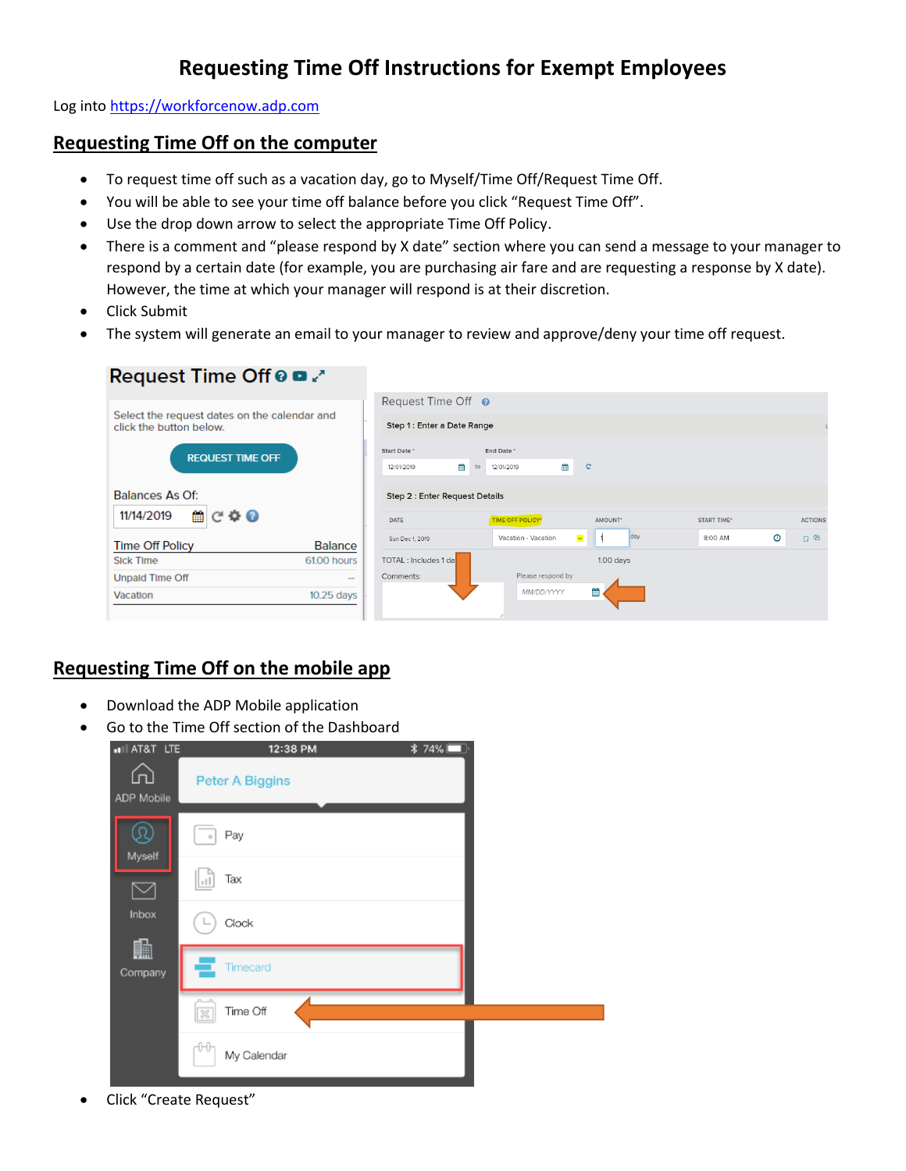## **Requesting Time Off Instructions for Exempt Employees**

Log into [https://workforcenow.adp.com](https://workforcenow.adp.com/)

## **Requesting Time Off on the computer**

- To request time off such as a vacation day, go to Myself/Time Off/Request Time Off.
- You will be able to see your time off balance before you click "Request Time Off".
- Use the drop down arrow to select the appropriate Time Off Policy.
- There is a comment and "please respond by X date" section where you can send a message to your manager to respond by a certain date (for example, you are purchasing air fare and are requesting a response by X date). However, the time at which your manager will respond is at their discretion.
- Click Submit
- The system will generate an email to your manager to review and approve/deny your time off request.

| Request Time Off @ D 2                                                  |                |                                 |                                     |                                |                    |         |                |
|-------------------------------------------------------------------------|----------------|---------------------------------|-------------------------------------|--------------------------------|--------------------|---------|----------------|
|                                                                         |                | Request Time Off <sup>o</sup>   |                                     |                                |                    |         |                |
| Select the request dates on the calendar and<br>click the button below. |                | Step 1: Enter a Date Range      |                                     |                                |                    |         |                |
| <b>REQUEST TIME OFF</b>                                                 |                | Start Date *<br>鯩<br>12/01/2019 | End Date *<br>曲<br>12/01/2019<br>to | $\mathbf{C}$                   |                    |         |                |
| Balances As Of:                                                         |                | Step 2 : Enter Request Details  |                                     |                                |                    |         |                |
| $C \Phi O$<br>雦<br>11/14/2019                                           |                | DATE                            | <b>TIME OFF POLICY*</b>             | AMOUNT <sup>*</sup>            | <b>START TIME*</b> |         | <b>ACTIONS</b> |
| <b>Time Off Policy</b>                                                  | <b>Balance</b> | Sun Dec 1, 2019                 | Vacation - Vacation                 | day<br>$\overline{\mathbf{v}}$ | 8:00 AM            | $\odot$ | ු ආ            |
| <b>Sick Time</b>                                                        | 61.00 hours    | TOTAL : Includes 1 day          |                                     | $1.00$ days                    |                    |         |                |
| <b>Unpald Time Off</b>                                                  | $\sim$         | Comments:                       | Please respond by                   |                                |                    |         |                |
| Vacation                                                                | $10.25$ days   |                                 | MM/DD/YYYY                          | 龤                              |                    |         |                |

## **Requesting Time Off on the mobile app**

- Download the ADP Mobile application
- Go to the Time Off section of the Dashboard

| «Ill AT&T LTE     | 12:38 PM                            | <b>*74%</b> □ |
|-------------------|-------------------------------------|---------------|
| ίn)<br>ADP Mobile | <b>Peter A Biggins</b>              |               |
| Myself            | Pay<br>$\circ$                      |               |
|                   | Tax<br>ا با                         |               |
| Inbox             | Clock                               |               |
| 血<br>Company      | Timecard                            |               |
|                   | Time Off<br>$\overline{\mathbb{X}}$ |               |
|                   | ₩<br>My Calendar                    |               |

Click "Create Request"